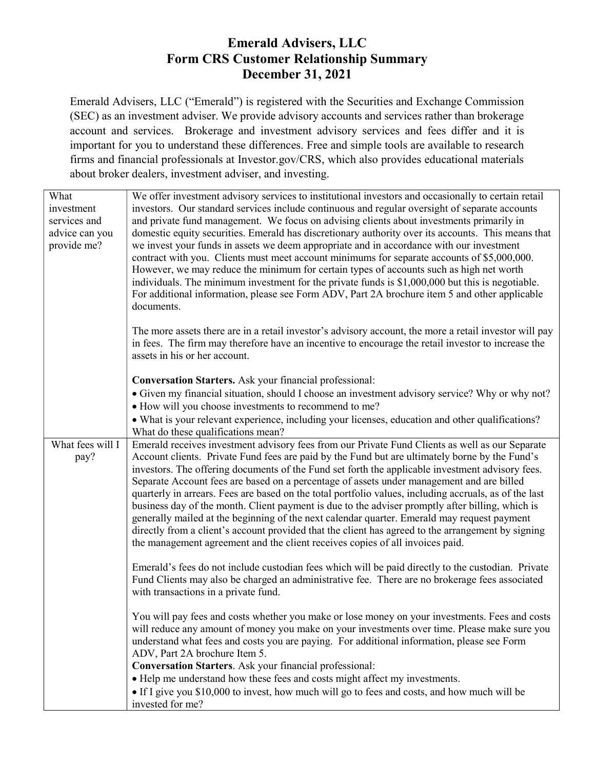## Emerald Advisers, LLC Form CRS Customer Relationship Summary December 31, 2021

Emerald Advisers, LLC ("Emerald") is registered with the Securities and Exchange Commission (SEC) as an investment adviser. We provide advisory accounts and services rather than brokerage account and services. Brokerage and investment advisory services and fees differ and it is important for you to understand these differences. Free and simple tools are available to research firms and financial professionals at Investor.gov/CRS, which also provides educational materials about broker dealers, investment adviser, and investing.

| What<br>investment<br>services and<br>advice can you<br>provide me? | We offer investment advisory services to institutional investors and occasionally to certain retail<br>investors. Our standard services include continuous and regular oversight of separate accounts<br>and private fund management. We focus on advising clients about investments primarily in<br>domestic equity securities. Emerald has discretionary authority over its accounts. This means that<br>we invest your funds in assets we deem appropriate and in accordance with our investment<br>contract with you. Clients must meet account minimums for separate accounts of \$5,000,000.<br>However, we may reduce the minimum for certain types of accounts such as high net worth<br>individuals. The minimum investment for the private funds is \$1,000,000 but this is negotiable.<br>For additional information, please see Form ADV, Part 2A brochure item 5 and other applicable     |
|---------------------------------------------------------------------|--------------------------------------------------------------------------------------------------------------------------------------------------------------------------------------------------------------------------------------------------------------------------------------------------------------------------------------------------------------------------------------------------------------------------------------------------------------------------------------------------------------------------------------------------------------------------------------------------------------------------------------------------------------------------------------------------------------------------------------------------------------------------------------------------------------------------------------------------------------------------------------------------------|
|                                                                     | documents.<br>The more assets there are in a retail investor's advisory account, the more a retail investor will pay<br>in fees. The firm may therefore have an incentive to encourage the retail investor to increase the<br>assets in his or her account.                                                                                                                                                                                                                                                                                                                                                                                                                                                                                                                                                                                                                                            |
|                                                                     | <b>Conversation Starters.</b> Ask your financial professional:                                                                                                                                                                                                                                                                                                                                                                                                                                                                                                                                                                                                                                                                                                                                                                                                                                         |
|                                                                     | • Given my financial situation, should I choose an investment advisory service? Why or why not?<br>• How will you choose investments to recommend to me?                                                                                                                                                                                                                                                                                                                                                                                                                                                                                                                                                                                                                                                                                                                                               |
|                                                                     | • What is your relevant experience, including your licenses, education and other qualifications?<br>What do these qualifications mean?                                                                                                                                                                                                                                                                                                                                                                                                                                                                                                                                                                                                                                                                                                                                                                 |
| What fees will I<br>pay?                                            | Emerald receives investment advisory fees from our Private Fund Clients as well as our Separate<br>Account clients. Private Fund fees are paid by the Fund but are ultimately borne by the Fund's<br>investors. The offering documents of the Fund set forth the applicable investment advisory fees.<br>Separate Account fees are based on a percentage of assets under management and are billed<br>quarterly in arrears. Fees are based on the total portfolio values, including accruals, as of the last<br>business day of the month. Client payment is due to the adviser promptly after billing, which is<br>generally mailed at the beginning of the next calendar quarter. Emerald may request payment<br>directly from a client's account provided that the client has agreed to the arrangement by signing<br>the management agreement and the client receives copies of all invoices paid. |
|                                                                     | Emerald's fees do not include custodian fees which will be paid directly to the custodian. Private<br>Fund Clients may also be charged an administrative fee. There are no brokerage fees associated<br>with transactions in a private fund.                                                                                                                                                                                                                                                                                                                                                                                                                                                                                                                                                                                                                                                           |
|                                                                     | You will pay fees and costs whether you make or lose money on your investments. Fees and costs<br>will reduce any amount of money you make on your investments over time. Please make sure you<br>understand what fees and costs you are paying. For additional information, please see Form<br>ADV, Part 2A brochure Item 5.                                                                                                                                                                                                                                                                                                                                                                                                                                                                                                                                                                          |
|                                                                     | <b>Conversation Starters.</b> Ask your financial professional:                                                                                                                                                                                                                                                                                                                                                                                                                                                                                                                                                                                                                                                                                                                                                                                                                                         |
|                                                                     | • Help me understand how these fees and costs might affect my investments.<br>• If I give you \$10,000 to invest, how much will go to fees and costs, and how much will be                                                                                                                                                                                                                                                                                                                                                                                                                                                                                                                                                                                                                                                                                                                             |
|                                                                     | invested for me?                                                                                                                                                                                                                                                                                                                                                                                                                                                                                                                                                                                                                                                                                                                                                                                                                                                                                       |